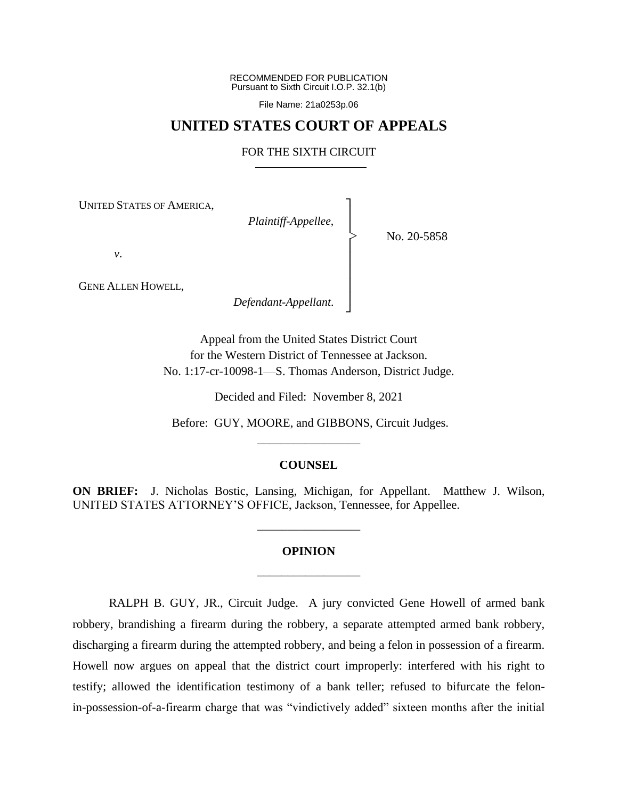RECOMMENDED FOR PUBLICATION Pursuant to Sixth Circuit I.O.P. 32.1(b)

File Name: 21a0253p.06

# **UNITED STATES COURT OF APPEALS**

# FOR THE SIXTH CIRCUIT

┐ │ │ │ │ │ │ │ ┘

|<br>|<br>|

UNITED STATES OF AMERICA,

*Plaintiff-Appellee*,

No. 20-5858

*v*.

GENE ALLEN HOWELL,

*Defendant-Appellant*.

Appeal from the United States District Court for the Western District of Tennessee at Jackson. No. 1:17-cr-10098-1—S. Thomas Anderson, District Judge.

Decided and Filed: November 8, 2021

Before: GUY, MOORE, and GIBBONS, Circuit Judges. \_\_\_\_\_\_\_\_\_\_\_\_\_\_\_\_\_

# **COUNSEL**

**ON BRIEF:** J. Nicholas Bostic, Lansing, Michigan, for Appellant. Matthew J. Wilson, UNITED STATES ATTORNEY'S OFFICE, Jackson, Tennessee, for Appellee.

# **OPINION** \_\_\_\_\_\_\_\_\_\_\_\_\_\_\_\_\_

\_\_\_\_\_\_\_\_\_\_\_\_\_\_\_\_\_

RALPH B. GUY, JR., Circuit Judge. A jury convicted Gene Howell of armed bank robbery, brandishing a firearm during the robbery, a separate attempted armed bank robbery, discharging a firearm during the attempted robbery, and being a felon in possession of a firearm. Howell now argues on appeal that the district court improperly: interfered with his right to testify; allowed the identification testimony of a bank teller; refused to bifurcate the felonin-possession-of-a-firearm charge that was "vindictively added" sixteen months after the initial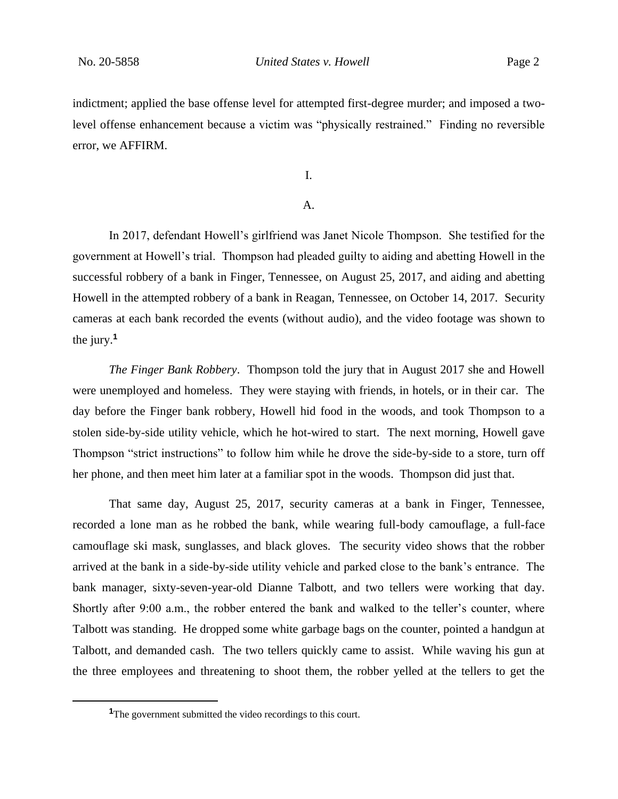indictment; applied the base offense level for attempted first-degree murder; and imposed a twolevel offense enhancement because a victim was "physically restrained." Finding no reversible error, we AFFIRM.

I.

# A.

In 2017, defendant Howell's girlfriend was Janet Nicole Thompson. She testified for the government at Howell's trial. Thompson had pleaded guilty to aiding and abetting Howell in the successful robbery of a bank in Finger, Tennessee, on August 25, 2017, and aiding and abetting Howell in the attempted robbery of a bank in Reagan, Tennessee, on October 14, 2017. Security cameras at each bank recorded the events (without audio), and the video footage was shown to the jury.**<sup>1</sup>**

*The Finger Bank Robbery*. Thompson told the jury that in August 2017 she and Howell were unemployed and homeless. They were staying with friends, in hotels, or in their car. The day before the Finger bank robbery, Howell hid food in the woods, and took Thompson to a stolen side-by-side utility vehicle, which he hot-wired to start. The next morning, Howell gave Thompson "strict instructions" to follow him while he drove the side-by-side to a store, turn off her phone, and then meet him later at a familiar spot in the woods. Thompson did just that.

That same day, August 25, 2017, security cameras at a bank in Finger, Tennessee, recorded a lone man as he robbed the bank, while wearing full-body camouflage, a full-face camouflage ski mask, sunglasses, and black gloves. The security video shows that the robber arrived at the bank in a side-by-side utility vehicle and parked close to the bank's entrance. The bank manager, sixty-seven-year-old Dianne Talbott, and two tellers were working that day. Shortly after 9:00 a.m., the robber entered the bank and walked to the teller's counter, where Talbott was standing. He dropped some white garbage bags on the counter, pointed a handgun at Talbott, and demanded cash. The two tellers quickly came to assist. While waving his gun at the three employees and threatening to shoot them, the robber yelled at the tellers to get the

**<sup>1</sup>**The government submitted the video recordings to this court.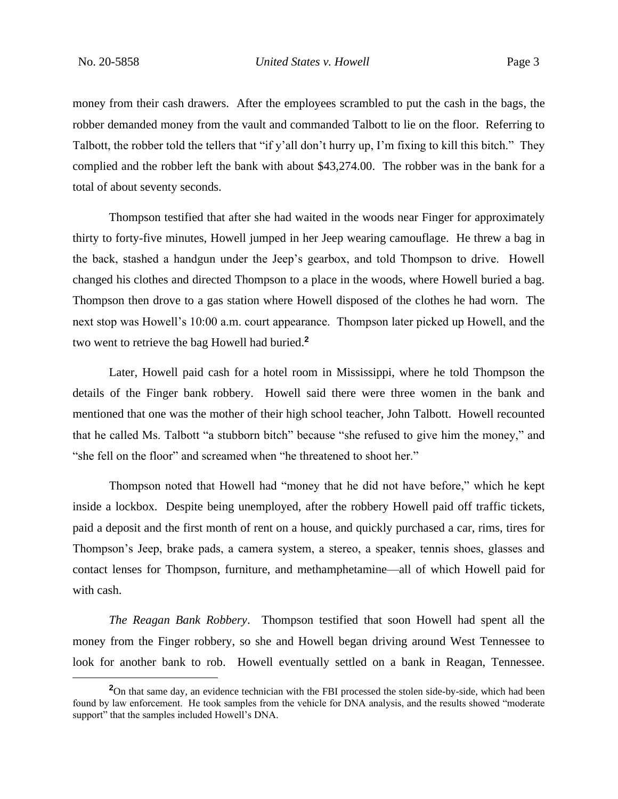money from their cash drawers. After the employees scrambled to put the cash in the bags, the robber demanded money from the vault and commanded Talbott to lie on the floor. Referring to Talbott, the robber told the tellers that "if y'all don't hurry up, I'm fixing to kill this bitch." They complied and the robber left the bank with about \$43,274.00. The robber was in the bank for a total of about seventy seconds.

Thompson testified that after she had waited in the woods near Finger for approximately thirty to forty-five minutes, Howell jumped in her Jeep wearing camouflage. He threw a bag in the back, stashed a handgun under the Jeep's gearbox, and told Thompson to drive. Howell changed his clothes and directed Thompson to a place in the woods, where Howell buried a bag. Thompson then drove to a gas station where Howell disposed of the clothes he had worn. The next stop was Howell's 10:00 a.m. court appearance. Thompson later picked up Howell, and the two went to retrieve the bag Howell had buried.**<sup>2</sup>**

Later, Howell paid cash for a hotel room in Mississippi, where he told Thompson the details of the Finger bank robbery. Howell said there were three women in the bank and mentioned that one was the mother of their high school teacher, John Talbott. Howell recounted that he called Ms. Talbott "a stubborn bitch" because "she refused to give him the money," and "she fell on the floor" and screamed when "he threatened to shoot her."

Thompson noted that Howell had "money that he did not have before," which he kept inside a lockbox. Despite being unemployed, after the robbery Howell paid off traffic tickets, paid a deposit and the first month of rent on a house, and quickly purchased a car, rims, tires for Thompson's Jeep, brake pads, a camera system, a stereo, a speaker, tennis shoes, glasses and contact lenses for Thompson, furniture, and methamphetamine—all of which Howell paid for with cash.

*The Reagan Bank Robbery*. Thompson testified that soon Howell had spent all the money from the Finger robbery, so she and Howell began driving around West Tennessee to look for another bank to rob. Howell eventually settled on a bank in Reagan, Tennessee.

<sup>&</sup>lt;sup>2</sup>On that same day, an evidence technician with the FBI processed the stolen side-by-side, which had been found by law enforcement. He took samples from the vehicle for DNA analysis, and the results showed "moderate support" that the samples included Howell's DNA.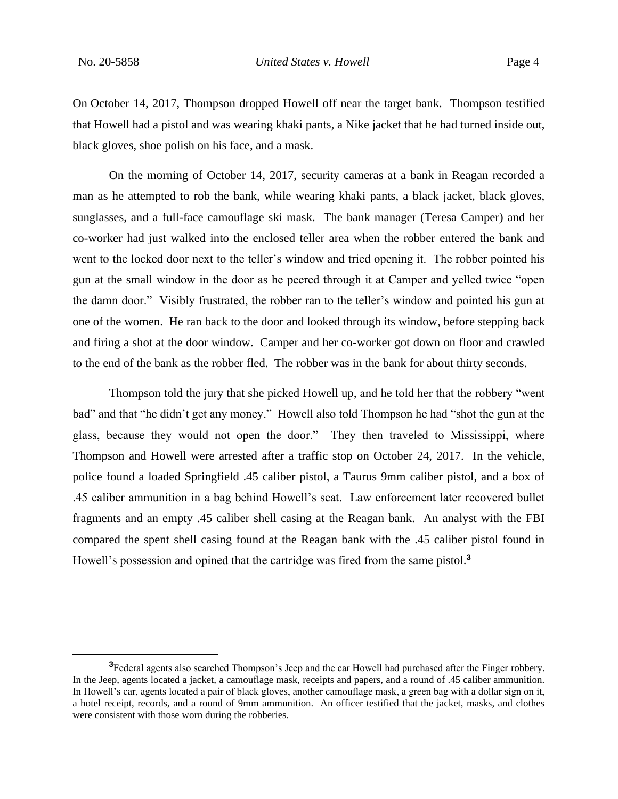On October 14, 2017, Thompson dropped Howell off near the target bank. Thompson testified that Howell had a pistol and was wearing khaki pants, a Nike jacket that he had turned inside out, black gloves, shoe polish on his face, and a mask.

On the morning of October 14, 2017, security cameras at a bank in Reagan recorded a man as he attempted to rob the bank, while wearing khaki pants, a black jacket, black gloves, sunglasses, and a full-face camouflage ski mask. The bank manager (Teresa Camper) and her co-worker had just walked into the enclosed teller area when the robber entered the bank and went to the locked door next to the teller's window and tried opening it. The robber pointed his gun at the small window in the door as he peered through it at Camper and yelled twice "open the damn door." Visibly frustrated, the robber ran to the teller's window and pointed his gun at one of the women. He ran back to the door and looked through its window, before stepping back and firing a shot at the door window. Camper and her co-worker got down on floor and crawled to the end of the bank as the robber fled. The robber was in the bank for about thirty seconds.

Thompson told the jury that she picked Howell up, and he told her that the robbery "went bad" and that "he didn't get any money." Howell also told Thompson he had "shot the gun at the glass, because they would not open the door." They then traveled to Mississippi, where Thompson and Howell were arrested after a traffic stop on October 24, 2017. In the vehicle, police found a loaded Springfield .45 caliber pistol, a Taurus 9mm caliber pistol, and a box of .45 caliber ammunition in a bag behind Howell's seat. Law enforcement later recovered bullet fragments and an empty .45 caliber shell casing at the Reagan bank. An analyst with the FBI compared the spent shell casing found at the Reagan bank with the .45 caliber pistol found in Howell's possession and opined that the cartridge was fired from the same pistol.**<sup>3</sup>**

**<sup>3</sup>**Federal agents also searched Thompson's Jeep and the car Howell had purchased after the Finger robbery. In the Jeep, agents located a jacket, a camouflage mask, receipts and papers, and a round of .45 caliber ammunition. In Howell's car, agents located a pair of black gloves, another camouflage mask, a green bag with a dollar sign on it, a hotel receipt, records, and a round of 9mm ammunition. An officer testified that the jacket, masks, and clothes were consistent with those worn during the robberies.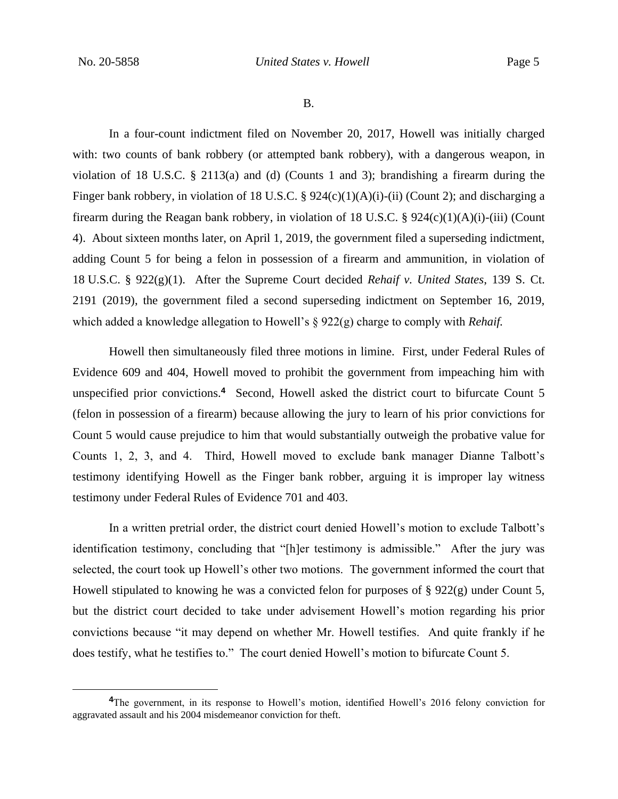B.

In a four-count indictment filed on November 20, 2017, Howell was initially charged with: two counts of bank robbery (or attempted bank robbery), with a dangerous weapon, in violation of 18 U.S.C. § 2113(a) and (d) (Counts 1 and 3); brandishing a firearm during the Finger bank robbery, in violation of 18 U.S.C. § 924(c)(1)(A)(i)-(ii) (Count 2); and discharging a firearm during the Reagan bank robbery, in violation of 18 U.S.C. §  $924(c)(1)(A)(i)$ -(iii) (Count 4). About sixteen months later, on April 1, 2019, the government filed a superseding indictment, adding Count 5 for being a felon in possession of a firearm and ammunition, in violation of 18 U.S.C. § 922(g)(1). After the Supreme Court decided *Rehaif v. United States*, 139 S. Ct. 2191 (2019), the government filed a second superseding indictment on September 16, 2019, which added a knowledge allegation to Howell's § 922(g) charge to comply with *Rehaif.*

Howell then simultaneously filed three motions in limine. First, under Federal Rules of Evidence 609 and 404, Howell moved to prohibit the government from impeaching him with unspecified prior convictions.**<sup>4</sup>** Second, Howell asked the district court to bifurcate Count 5 (felon in possession of a firearm) because allowing the jury to learn of his prior convictions for Count 5 would cause prejudice to him that would substantially outweigh the probative value for Counts 1, 2, 3, and 4. Third, Howell moved to exclude bank manager Dianne Talbott's testimony identifying Howell as the Finger bank robber, arguing it is improper lay witness testimony under Federal Rules of Evidence 701 and 403.

In a written pretrial order, the district court denied Howell's motion to exclude Talbott's identification testimony, concluding that "[h]er testimony is admissible." After the jury was selected, the court took up Howell's other two motions. The government informed the court that Howell stipulated to knowing he was a convicted felon for purposes of § 922(g) under Count 5, but the district court decided to take under advisement Howell's motion regarding his prior convictions because "it may depend on whether Mr. Howell testifies. And quite frankly if he does testify, what he testifies to." The court denied Howell's motion to bifurcate Count 5.

**<sup>4</sup>**The government, in its response to Howell's motion, identified Howell's 2016 felony conviction for aggravated assault and his 2004 misdemeanor conviction for theft.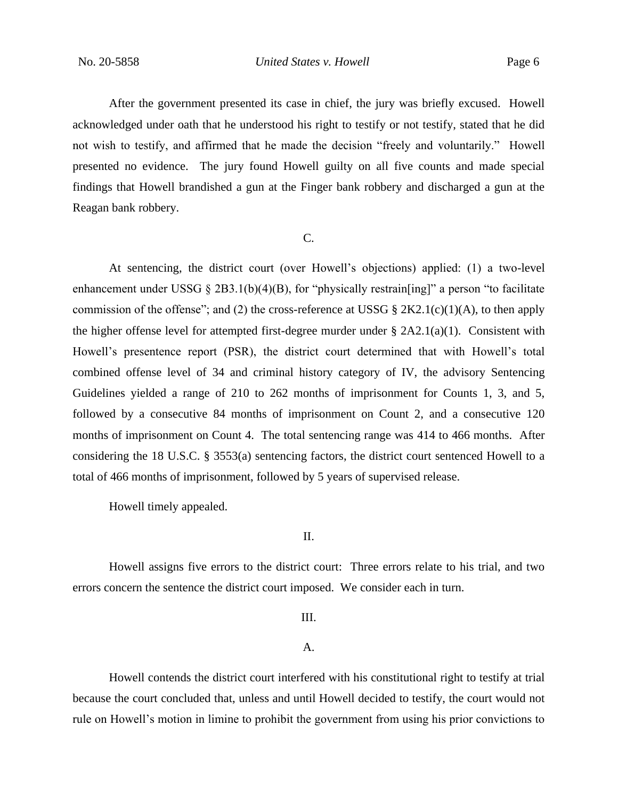After the government presented its case in chief, the jury was briefly excused. Howell acknowledged under oath that he understood his right to testify or not testify, stated that he did not wish to testify, and affirmed that he made the decision "freely and voluntarily." Howell presented no evidence. The jury found Howell guilty on all five counts and made special findings that Howell brandished a gun at the Finger bank robbery and discharged a gun at the Reagan bank robbery.

#### C.

At sentencing, the district court (over Howell's objections) applied: (1) a two-level enhancement under USSG  $\S 2B3.1(b)(4)(B)$ , for "physically restrain [ing]" a person "to facilitate commission of the offense"; and (2) the cross-reference at USSG § 2K2.1(c)(1)(A), to then apply the higher offense level for attempted first-degree murder under  $\S 2A2.1(a)(1)$ . Consistent with Howell's presentence report (PSR), the district court determined that with Howell's total combined offense level of 34 and criminal history category of IV, the advisory Sentencing Guidelines yielded a range of 210 to 262 months of imprisonment for Counts 1, 3, and 5, followed by a consecutive 84 months of imprisonment on Count 2, and a consecutive 120 months of imprisonment on Count 4. The total sentencing range was 414 to 466 months. After considering the 18 U.S.C. § 3553(a) sentencing factors, the district court sentenced Howell to a total of 466 months of imprisonment, followed by 5 years of supervised release.

Howell timely appealed.

II.

Howell assigns five errors to the district court: Three errors relate to his trial, and two errors concern the sentence the district court imposed. We consider each in turn.

III.

A.

Howell contends the district court interfered with his constitutional right to testify at trial because the court concluded that, unless and until Howell decided to testify, the court would not rule on Howell's motion in limine to prohibit the government from using his prior convictions to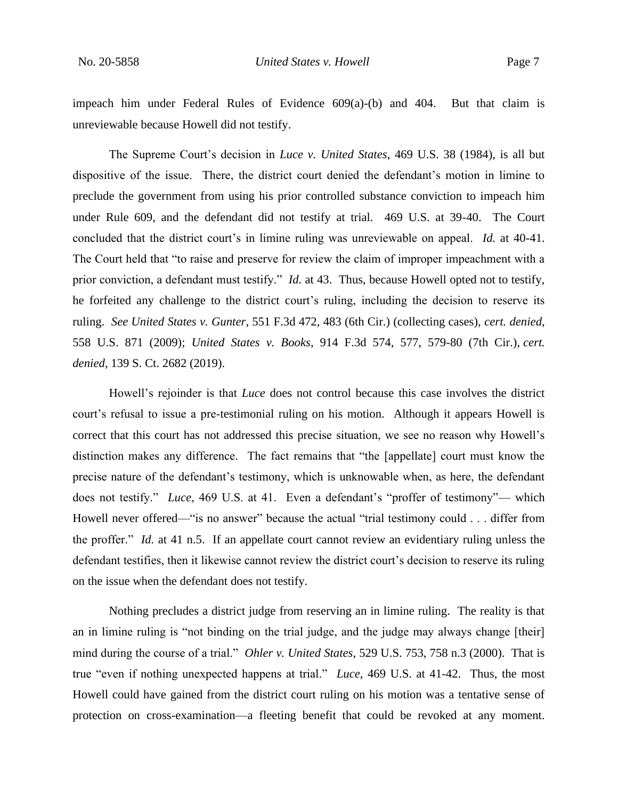impeach him under Federal Rules of Evidence 609(a)-(b) and 404. But that claim is unreviewable because Howell did not testify.

The Supreme Court's decision in *Luce v. United States*, 469 U.S. 38 (1984), is all but dispositive of the issue. There, the district court denied the defendant's motion in limine to preclude the government from using his prior controlled substance conviction to impeach him under Rule 609, and the defendant did not testify at trial. 469 U.S. at 39-40. The Court concluded that the district court's in limine ruling was unreviewable on appeal. *Id.* at 40-41. The Court held that "to raise and preserve for review the claim of improper impeachment with a prior conviction, a defendant must testify." *Id.* at 43. Thus, because Howell opted not to testify, he forfeited any challenge to the district court's ruling, including the decision to reserve its ruling. *See United States v. Gunter*, 551 F.3d 472, 483 (6th Cir.) (collecting cases), *cert. denied*, 558 U.S. 871 (2009); *United States v. Books*, 914 F.3d 574, 577, 579-80 (7th Cir.), *cert. denied*, 139 S. Ct. 2682 (2019).

Howell's rejoinder is that *Luce* does not control because this case involves the district court's refusal to issue a pre-testimonial ruling on his motion. Although it appears Howell is correct that this court has not addressed this precise situation, we see no reason why Howell's distinction makes any difference. The fact remains that "the [appellate] court must know the precise nature of the defendant's testimony, which is unknowable when, as here, the defendant does not testify." *Luce*, 469 U.S. at 41. Even a defendant's "proffer of testimony"— which Howell never offered—"is no answer" because the actual "trial testimony could . . . differ from the proffer." *Id.* at 41 n.5. If an appellate court cannot review an evidentiary ruling unless the defendant testifies, then it likewise cannot review the district court's decision to reserve its ruling on the issue when the defendant does not testify.

Nothing precludes a district judge from reserving an in limine ruling. The reality is that an in limine ruling is "not binding on the trial judge, and the judge may always change [their] mind during the course of a trial." *Ohler v. United States*, 529 U.S. 753, 758 n.3 (2000). That is true "even if nothing unexpected happens at trial." *Luce*, 469 U.S. at 41-42. Thus, the most Howell could have gained from the district court ruling on his motion was a tentative sense of protection on cross-examination—a fleeting benefit that could be revoked at any moment.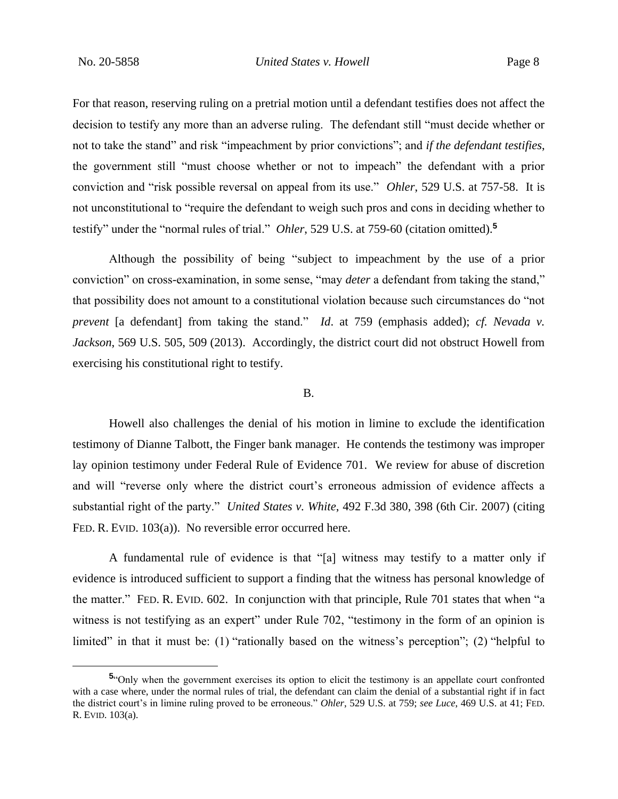For that reason, reserving ruling on a pretrial motion until a defendant testifies does not affect the decision to testify any more than an adverse ruling. The defendant still "must decide whether or not to take the stand" and risk "impeachment by prior convictions"; and *if the defendant testifies*, the government still "must choose whether or not to impeach" the defendant with a prior conviction and "risk possible reversal on appeal from its use." *Ohler*, 529 U.S. at 757-58. It is not unconstitutional to "require the defendant to weigh such pros and cons in deciding whether to testify" under the "normal rules of trial." *Ohler*, 529 U.S. at 759-60 (citation omitted).**<sup>5</sup>**

Although the possibility of being "subject to impeachment by the use of a prior conviction" on cross-examination, in some sense, "may *deter* a defendant from taking the stand," that possibility does not amount to a constitutional violation because such circumstances do "not *prevent* [a defendant] from taking the stand." *Id*. at 759 (emphasis added); *cf. Nevada v. Jackson*, 569 U.S. 505, 509 (2013). Accordingly, the district court did not obstruct Howell from exercising his constitutional right to testify.

#### B.

Howell also challenges the denial of his motion in limine to exclude the identification testimony of Dianne Talbott, the Finger bank manager. He contends the testimony was improper lay opinion testimony under Federal Rule of Evidence 701. We review for abuse of discretion and will "reverse only where the district court's erroneous admission of evidence affects a substantial right of the party." *United States v. White*, 492 F.3d 380, 398 (6th Cir. 2007) (citing FED. R. EVID. 103(a)). No reversible error occurred here.

A fundamental rule of evidence is that "[a] witness may testify to a matter only if evidence is introduced sufficient to support a finding that the witness has personal knowledge of the matter." FED. R. EVID. 602. In conjunction with that principle, Rule 701 states that when "a witness is not testifying as an expert" under Rule 702, "testimony in the form of an opinion is limited" in that it must be: (1) "rationally based on the witness's perception"; (2) "helpful to

**<sup>5</sup>** "Only when the government exercises its option to elicit the testimony is an appellate court confronted with a case where, under the normal rules of trial, the defendant can claim the denial of a substantial right if in fact the district court's in limine ruling proved to be erroneous." *Ohler*, 529 U.S. at 759; *see Luce*, 469 U.S. at 41; FED. R. EVID. 103(a).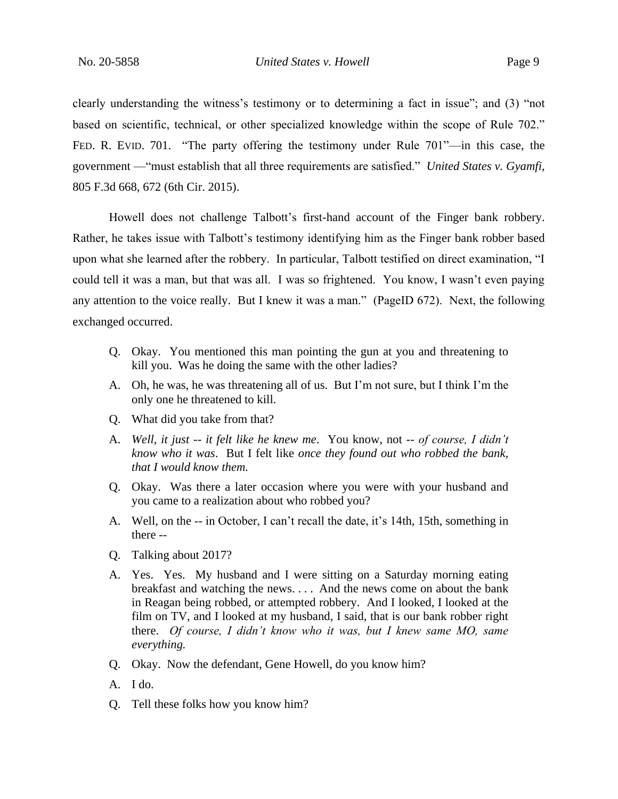clearly understanding the witness's testimony or to determining a fact in issue"; and (3) "not based on scientific, technical, or other specialized knowledge within the scope of Rule 702." FED. R. EVID. 701. "The party offering the testimony under Rule 701"—in this case, the government —"must establish that all three requirements are satisfied." *United States v. Gyamfi*, 805 F.3d 668, 672 (6th Cir. 2015).

Howell does not challenge Talbott's first-hand account of the Finger bank robbery. Rather, he takes issue with Talbott's testimony identifying him as the Finger bank robber based upon what she learned after the robbery. In particular, Talbott testified on direct examination, "I could tell it was a man, but that was all. I was so frightened. You know, I wasn't even paying any attention to the voice really. But I knew it was a man." (PageID 672). Next, the following exchanged occurred.

- Q. Okay. You mentioned this man pointing the gun at you and threatening to kill you. Was he doing the same with the other ladies?
- A. Oh, he was, he was threatening all of us. But I'm not sure, but I think I'm the only one he threatened to kill.
- Q. What did you take from that?
- A. *Well, it just -- it felt like he knew me*. You know, not -- *of course, I didn't know who it was*. But I felt like *once they found out who robbed the bank, that I would know them.*
- Q. Okay. Was there a later occasion where you were with your husband and you came to a realization about who robbed you?
- A. Well, on the -- in October, I can't recall the date, it's 14th, 15th, something in there --
- Q. Talking about 2017?
- A. Yes. Yes. My husband and I were sitting on a Saturday morning eating breakfast and watching the news. . . . And the news come on about the bank in Reagan being robbed, or attempted robbery. And I looked, I looked at the film on TV, and I looked at my husband, I said, that is our bank robber right there. *Of course, I didn't know who it was, but I knew same MO, same everything.*
- Q. Okay. Now the defendant, Gene Howell, do you know him?
- A. I do.
- Q. Tell these folks how you know him?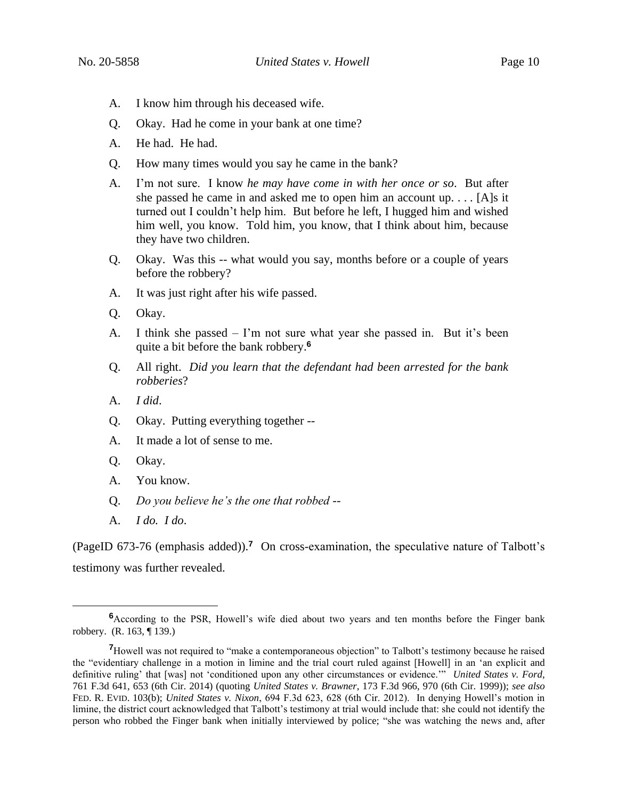- A. I know him through his deceased wife.
- Q. Okay. Had he come in your bank at one time?
- A. He had. He had.
- Q. How many times would you say he came in the bank?
- A. I'm not sure. I know *he may have come in with her once or so*. But after she passed he came in and asked me to open him an account up. . . . [A]s it turned out I couldn't help him. But before he left, I hugged him and wished him well, you know. Told him, you know, that I think about him, because they have two children.
- Q. Okay. Was this -- what would you say, months before or a couple of years before the robbery?
- A. It was just right after his wife passed.
- Q. Okay.
- A. I think she passed I'm not sure what year she passed in. But it's been quite a bit before the bank robbery.**<sup>6</sup>**
- Q. All right. *Did you learn that the defendant had been arrested for the bank robberies*?
- A. *I did*.
- Q. Okay. Putting everything together --
- A. It made a lot of sense to me.
- Q. Okay.
- A. You know.
- Q. *Do you believe he's the one that robbed* --
- A. *I do. I do*.

(PageID 673-76 (emphasis added)).**<sup>7</sup>** On cross-examination, the speculative nature of Talbott's testimony was further revealed.

<sup>&</sup>lt;sup>6</sup>According to the PSR, Howell's wife died about two years and ten months before the Finger bank robbery. (R. 163, ¶ 139.)

**<sup>7</sup>**Howell was not required to "make a contemporaneous objection" to Talbott's testimony because he raised the "evidentiary challenge in a motion in limine and the trial court ruled against [Howell] in an 'an explicit and definitive ruling' that [was] not 'conditioned upon any other circumstances or evidence.'" *United States v. Ford*, 761 F.3d 641, 653 (6th Cir. 2014) (quoting *United States v. Brawner*, 173 F.3d 966, 970 (6th Cir. 1999)); *see also*  FED. R. EVID. 103(b); *United States v. Nixon*, 694 F.3d 623, 628 (6th Cir. 2012). In denying Howell's motion in limine, the district court acknowledged that Talbott's testimony at trial would include that: she could not identify the person who robbed the Finger bank when initially interviewed by police; "she was watching the news and, after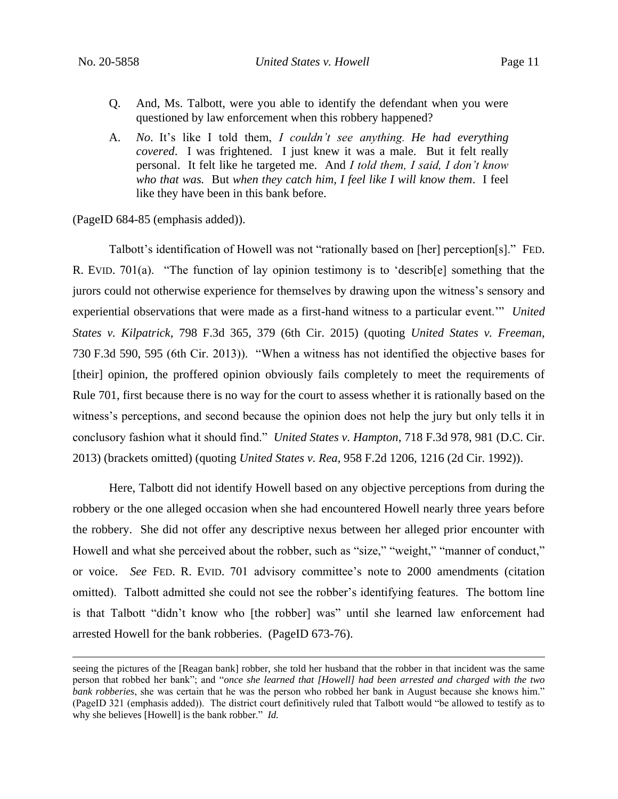- Q. And, Ms. Talbott, were you able to identify the defendant when you were questioned by law enforcement when this robbery happened?
- A. *No*. It's like I told them, *I couldn't see anything. He had everything covered*. I was frightened. I just knew it was a male. But it felt really personal. It felt like he targeted me. And *I told them, I said, I don't know who that was.* But *when they catch him, I feel like I will know them*. I feel like they have been in this bank before.

(PageID 684-85 (emphasis added)).

Talbott's identification of Howell was not "rationally based on [her] perception[s]." FED. R. EVID. 701(a). "The function of lay opinion testimony is to 'describ[e] something that the jurors could not otherwise experience for themselves by drawing upon the witness's sensory and experiential observations that were made as a first-hand witness to a particular event.'" *United States v. Kilpatrick*, 798 F.3d 365, 379 (6th Cir. 2015) (quoting *United States v. Freeman*, 730 F.3d 590, 595 (6th Cir. 2013)). "When a witness has not identified the objective bases for [their] opinion, the proffered opinion obviously fails completely to meet the requirements of Rule 701, first because there is no way for the court to assess whether it is rationally based on the witness's perceptions, and second because the opinion does not help the jury but only tells it in conclusory fashion what it should find." *United States v. Hampton*, 718 F.3d 978, 981 (D.C. Cir. 2013) (brackets omitted) (quoting *United States v. Rea*, 958 F.2d 1206, 1216 (2d Cir. 1992)).

Here, Talbott did not identify Howell based on any objective perceptions from during the robbery or the one alleged occasion when she had encountered Howell nearly three years before the robbery. She did not offer any descriptive nexus between her alleged prior encounter with Howell and what she perceived about the robber, such as "size," "weight," "manner of conduct," or voice. *See* FED. R. EVID. 701 advisory committee's note to 2000 amendments (citation omitted). Talbott admitted she could not see the robber's identifying features. The bottom line is that Talbott "didn't know who [the robber] was" until she learned law enforcement had arrested Howell for the bank robberies. (PageID 673-76).

seeing the pictures of the [Reagan bank] robber, she told her husband that the robber in that incident was the same person that robbed her bank"; and "*once she learned that [Howell] had been arrested and charged with the two bank robberies*, she was certain that he was the person who robbed her bank in August because she knows him." (PageID 321 (emphasis added)). The district court definitively ruled that Talbott would "be allowed to testify as to why she believes [Howell] is the bank robber." *Id.*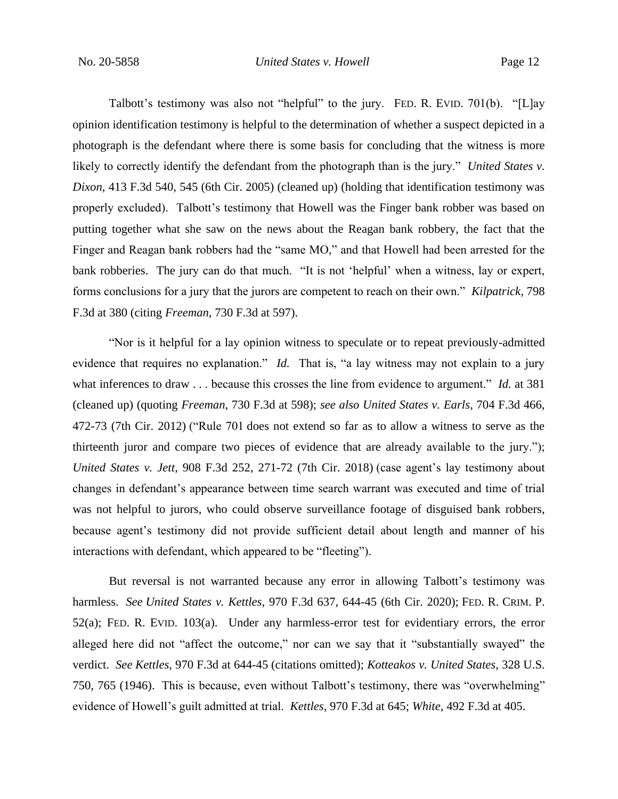Talbott's testimony was also not "helpful" to the jury. FED. R. EVID. 701(b). "[L]ay opinion identification testimony is helpful to the determination of whether a suspect depicted in a photograph is the defendant where there is some basis for concluding that the witness is more likely to correctly identify the defendant from the photograph than is the jury." *United States v. Dixon*, 413 F.3d 540, 545 (6th Cir. 2005) (cleaned up) (holding that identification testimony was properly excluded). Talbott's testimony that Howell was the Finger bank robber was based on putting together what she saw on the news about the Reagan bank robbery, the fact that the Finger and Reagan bank robbers had the "same MO," and that Howell had been arrested for the bank robberies. The jury can do that much. "It is not 'helpful' when a witness, lay or expert, forms conclusions for a jury that the jurors are competent to reach on their own." *Kilpatrick*, 798 F.3d at 380 (citing *Freeman*, 730 F.3d at 597).

"Nor is it helpful for a lay opinion witness to speculate or to repeat previously-admitted evidence that requires no explanation." *Id.* That is, "a lay witness may not explain to a jury what inferences to draw . . . because this crosses the line from evidence to argument." *Id.* at 381 (cleaned up) (quoting *Freeman*, 730 F.3d at 598); *see also United States v. Earls*, 704 F.3d 466, 472-73 (7th Cir. 2012) ("Rule 701 does not extend so far as to allow a witness to serve as the thirteenth juror and compare two pieces of evidence that are already available to the jury."); *United States v. Jett*, 908 F.3d 252, 271-72 (7th Cir. 2018) (case agent's lay testimony about changes in defendant's appearance between time search warrant was executed and time of trial was not helpful to jurors, who could observe surveillance footage of disguised bank robbers, because agent's testimony did not provide sufficient detail about length and manner of his interactions with defendant, which appeared to be "fleeting").

But reversal is not warranted because any error in allowing Talbott's testimony was harmless. *See United States v. Kettles*, 970 F.3d 637, 644-45 (6th Cir. 2020); FED. R. CRIM. P. 52(a); FED. R. EVID. 103(a). Under any harmless-error test for evidentiary errors, the error alleged here did not "affect the outcome," nor can we say that it "substantially swayed" the verdict. *See Kettles*, 970 F.3d at 644-45 (citations omitted); *Kotteakos v. United States*, 328 U.S. 750, 765 (1946). This is because, even without Talbott's testimony, there was "overwhelming" evidence of Howell's guilt admitted at trial. *Kettles*, 970 F.3d at 645; *White*, 492 F.3d at 405.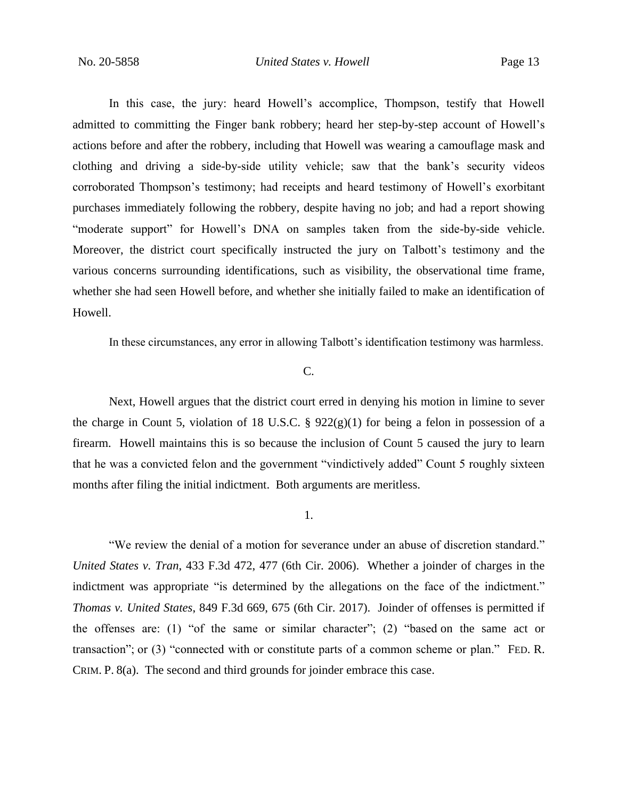In this case, the jury: heard Howell's accomplice, Thompson, testify that Howell admitted to committing the Finger bank robbery; heard her step-by-step account of Howell's actions before and after the robbery, including that Howell was wearing a camouflage mask and clothing and driving a side-by-side utility vehicle; saw that the bank's security videos corroborated Thompson's testimony; had receipts and heard testimony of Howell's exorbitant purchases immediately following the robbery, despite having no job; and had a report showing "moderate support" for Howell's DNA on samples taken from the side-by-side vehicle. Moreover, the district court specifically instructed the jury on Talbott's testimony and the various concerns surrounding identifications, such as visibility, the observational time frame, whether she had seen Howell before, and whether she initially failed to make an identification of Howell.

In these circumstances, any error in allowing Talbott's identification testimony was harmless.

#### C.

Next, Howell argues that the district court erred in denying his motion in limine to sever the charge in Count 5, violation of 18 U.S.C. §  $922(g)(1)$  for being a felon in possession of a firearm. Howell maintains this is so because the inclusion of Count 5 caused the jury to learn that he was a convicted felon and the government "vindictively added" Count 5 roughly sixteen months after filing the initial indictment. Both arguments are meritless.

# 1.

"We review the denial of a motion for severance under an abuse of discretion standard." *United States v. Tran*, 433 F.3d 472, 477 (6th Cir. 2006). Whether a joinder of charges in the indictment was appropriate "is determined by the allegations on the face of the indictment." *Thomas v. United States*, 849 F.3d 669, 675 (6th Cir. 2017). Joinder of offenses is permitted if the offenses are: (1) "of the same or similar character"; (2) "based on the same act or transaction"; or (3) "connected with or constitute parts of a common scheme or plan." FED. R. CRIM. P. 8(a). The second and third grounds for joinder embrace this case.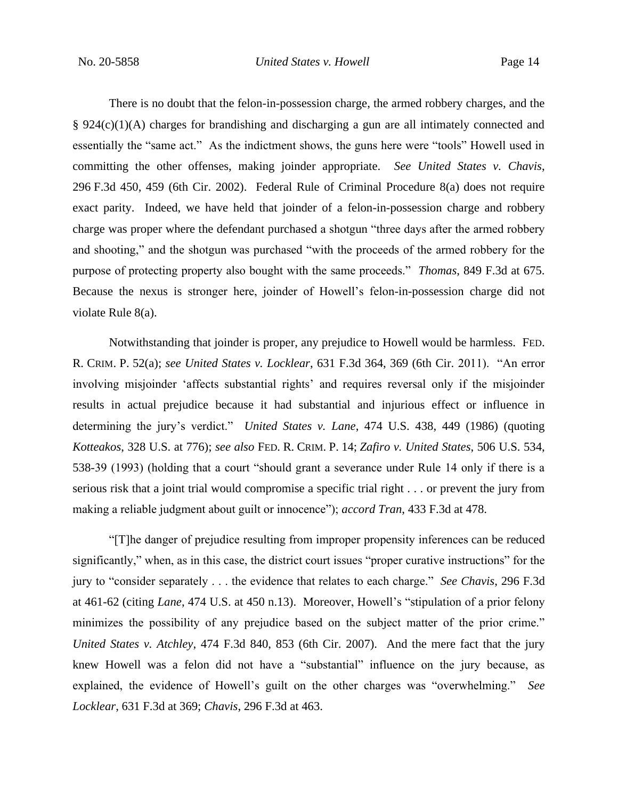There is no doubt that the felon-in-possession charge, the armed robbery charges, and the  $§$  924(c)(1)(A) charges for brandishing and discharging a gun are all intimately connected and essentially the "same act." As the indictment shows, the guns here were "tools" Howell used in committing the other offenses, making joinder appropriate. *See United States v. Chavis*, 296 F.3d 450, 459 (6th Cir. 2002). Federal Rule of Criminal Procedure 8(a) does not require exact parity. Indeed, we have held that joinder of a felon-in-possession charge and robbery charge was proper where the defendant purchased a shotgun "three days after the armed robbery and shooting," and the shotgun was purchased "with the proceeds of the armed robbery for the purpose of protecting property also bought with the same proceeds." *Thomas*, 849 F.3d at 675. Because the nexus is stronger here, joinder of Howell's felon-in-possession charge did not violate Rule 8(a).

Notwithstanding that joinder is proper, any prejudice to Howell would be harmless. FED. R. CRIM. P. 52(a); *see United States v. Locklear*, 631 F.3d 364, 369 (6th Cir. 2011). "An error involving misjoinder 'affects substantial rights' and requires reversal only if the misjoinder results in actual prejudice because it had substantial and injurious effect or influence in determining the jury's verdict." *United States v. Lane*, 474 U.S. 438, 449 (1986) (quoting *Kotteakos*, 328 U.S. at 776); *see also* FED. R. CRIM. P. 14; *Zafiro v. United States*, 506 U.S. 534, 538-39 (1993) (holding that a court "should grant a severance under Rule 14 only if there is a serious risk that a joint trial would compromise a specific trial right . . . or prevent the jury from making a reliable judgment about guilt or innocence"); *accord Tran*, 433 F.3d at 478.

"[T]he danger of prejudice resulting from improper propensity inferences can be reduced significantly," when, as in this case, the district court issues "proper curative instructions" for the jury to "consider separately . . . the evidence that relates to each charge." *See Chavis*, 296 F.3d at 461-62 (citing *Lane*, 474 U.S. at 450 n.13). Moreover, Howell's "stipulation of a prior felony minimizes the possibility of any prejudice based on the subject matter of the prior crime." *United States v. Atchley*, 474 F.3d 840, 853 (6th Cir. 2007). And the mere fact that the jury knew Howell was a felon did not have a "substantial" influence on the jury because, as explained, the evidence of Howell's guilt on the other charges was "overwhelming." *See Locklear*, 631 F.3d at 369; *Chavis*, 296 F.3d at 463.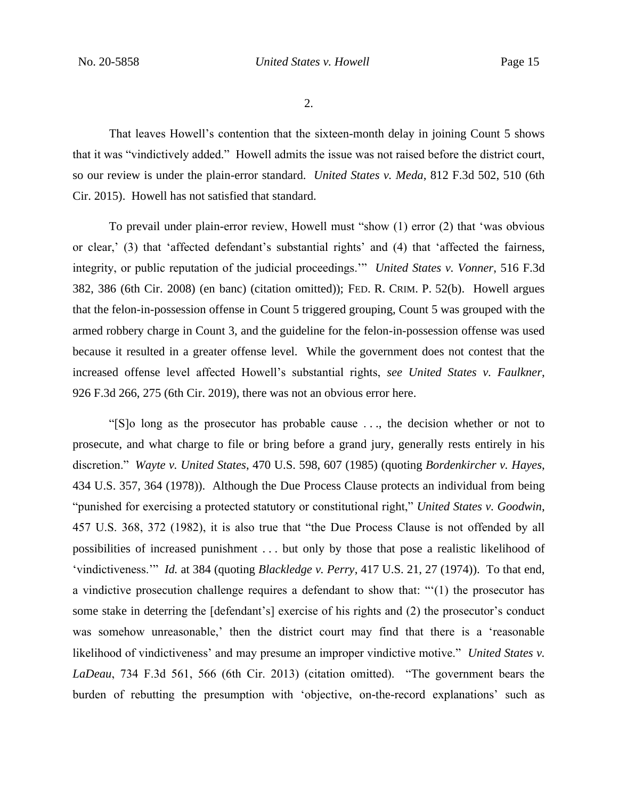2.

That leaves Howell's contention that the sixteen-month delay in joining Count 5 shows that it was "vindictively added." Howell admits the issue was not raised before the district court, so our review is under the plain-error standard. *United States v. Meda*, 812 F.3d 502, 510 (6th Cir. 2015). Howell has not satisfied that standard.

To prevail under plain-error review, Howell must "show (1) error (2) that 'was obvious or clear,' (3) that 'affected defendant's substantial rights' and (4) that 'affected the fairness, integrity, or public reputation of the judicial proceedings.'" *United States v. Vonner*, 516 F.3d 382, 386 (6th Cir. 2008) (en banc) (citation omitted)); FED. R. CRIM. P. 52(b). Howell argues that the felon-in-possession offense in Count 5 triggered grouping, Count 5 was grouped with the armed robbery charge in Count 3, and the guideline for the felon-in-possession offense was used because it resulted in a greater offense level. While the government does not contest that the increased offense level affected Howell's substantial rights, *see United States v. Faulkner*, 926 F.3d 266, 275 (6th Cir. 2019), there was not an obvious error here.

"[S]o long as the prosecutor has probable cause . . ., the decision whether or not to prosecute, and what charge to file or bring before a grand jury, generally rests entirely in his discretion." *Wayte v. United States*, 470 U.S. 598, 607 (1985) (quoting *Bordenkircher v. Hayes*, 434 U.S. 357, 364 (1978)). Although the Due Process Clause protects an individual from being "punished for exercising a protected statutory or constitutional right," *United States v. Goodwin*, 457 U.S. 368, 372 (1982), it is also true that "the Due Process Clause is not offended by all possibilities of increased punishment . . . but only by those that pose a realistic likelihood of 'vindictiveness.'" *Id.* at 384 (quoting *Blackledge v. Perry*, 417 U.S. 21, 27 (1974)). To that end, a vindictive prosecution challenge requires a defendant to show that: "'(1) the prosecutor has some stake in deterring the [defendant's] exercise of his rights and (2) the prosecutor's conduct was somehow unreasonable,' then the district court may find that there is a 'reasonable likelihood of vindictiveness' and may presume an improper vindictive motive." *United States v. LaDeau*, 734 F.3d 561, 566 (6th Cir. 2013) (citation omitted). "The government bears the burden of rebutting the presumption with 'objective, on-the-record explanations' such as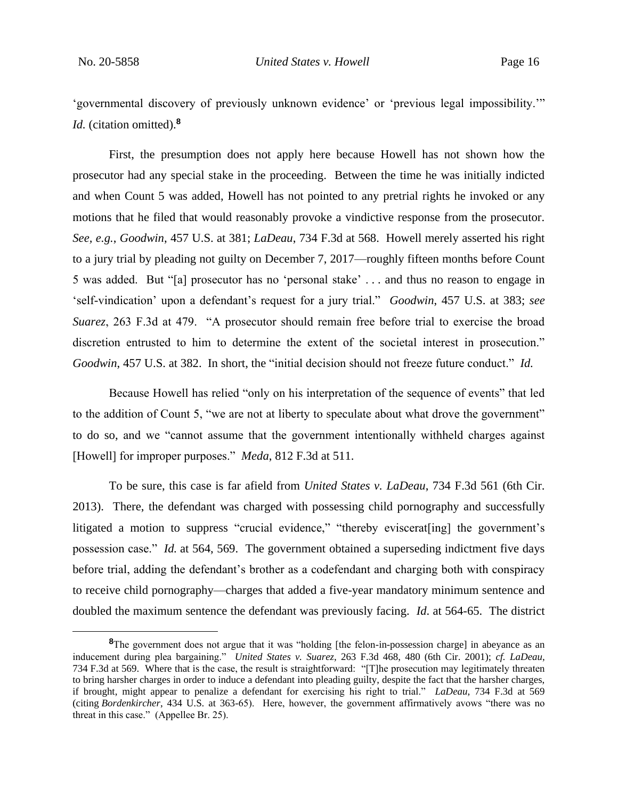'governmental discovery of previously unknown evidence' or 'previous legal impossibility.'" *Id.* (citation omitted).**<sup>8</sup>**

First, the presumption does not apply here because Howell has not shown how the prosecutor had any special stake in the proceeding. Between the time he was initially indicted and when Count 5 was added, Howell has not pointed to any pretrial rights he invoked or any motions that he filed that would reasonably provoke a vindictive response from the prosecutor. *See, e.g.*, *Goodwin*, 457 U.S. at 381; *LaDeau*, 734 F.3d at 568. Howell merely asserted his right to a jury trial by pleading not guilty on December 7, 2017—roughly fifteen months before Count 5 was added. But "[a] prosecutor has no 'personal stake' . . . and thus no reason to engage in 'self-vindication' upon a defendant's request for a jury trial." *Goodwin*, 457 U.S. at 383; *see Suarez*, 263 F.3d at 479. "A prosecutor should remain free before trial to exercise the broad discretion entrusted to him to determine the extent of the societal interest in prosecution." *Goodwin*, 457 U.S. at 382. In short, the "initial decision should not freeze future conduct." *Id.*

Because Howell has relied "only on his interpretation of the sequence of events" that led to the addition of Count 5, "we are not at liberty to speculate about what drove the government" to do so, and we "cannot assume that the government intentionally withheld charges against [Howell] for improper purposes." *Meda*, 812 F.3d at 511.

To be sure, this case is far afield from *United States v. LaDeau*, 734 F.3d 561 (6th Cir. 2013). There, the defendant was charged with possessing child pornography and successfully litigated a motion to suppress "crucial evidence," "thereby eviscerat [ing] the government's possession case." *Id.* at 564, 569. The government obtained a superseding indictment five days before trial, adding the defendant's brother as a codefendant and charging both with conspiracy to receive child pornography—charges that added a five-year mandatory minimum sentence and doubled the maximum sentence the defendant was previously facing. *Id*. at 564-65. The district

<sup>&</sup>lt;sup>8</sup>The government does not argue that it was "holding [the felon-in-possession charge] in abeyance as an inducement during plea bargaining." *United States v. Suarez*, 263 F.3d 468, 480 (6th Cir. 2001); *cf. LaDeau*, 734 F.3d at 569. Where that is the case, the result is straightforward: "[T]he prosecution may legitimately threaten to bring harsher charges in order to induce a defendant into pleading guilty, despite the fact that the harsher charges, if brought, might appear to penalize a defendant for exercising his right to trial." *LaDeau*, 734 F.3d at 569 (citing *Bordenkircher*, 434 U.S. at 363-65). Here, however, the government affirmatively avows "there was no threat in this case." (Appellee Br. 25).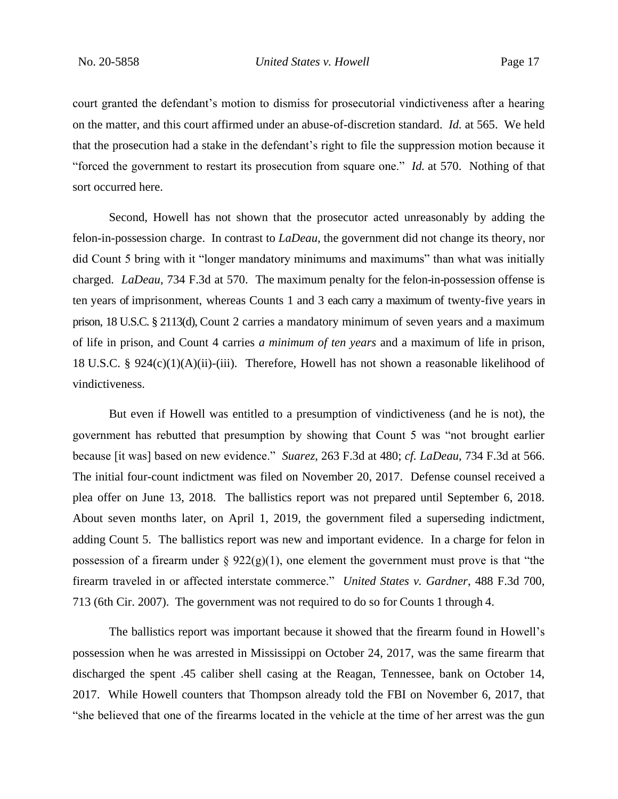court granted the defendant's motion to dismiss for prosecutorial vindictiveness after a hearing on the matter, and this court affirmed under an abuse-of-discretion standard. *Id.* at 565. We held that the prosecution had a stake in the defendant's right to file the suppression motion because it "forced the government to restart its prosecution from square one." *Id.* at 570. Nothing of that sort occurred here.

Second, Howell has not shown that the prosecutor acted unreasonably by adding the felon-in-possession charge. In contrast to *LaDeau*, the government did not change its theory, nor did Count 5 bring with it "longer mandatory minimums and maximums" than what was initially charged. *LaDeau*, 734 F.3d at 570. The maximum penalty for the felon-in-possession offense is ten years of imprisonment, whereas Counts 1 and 3 each carry a maximum of twenty-five years in prison, 18 U.S.C. § 2113(d), Count 2 carries a mandatory minimum of seven years and a maximum of life in prison, and Count 4 carries *a minimum of ten years* and a maximum of life in prison, 18 U.S.C. § 924 $(c)(1)(A)(ii)$ -(iii). Therefore, Howell has not shown a reasonable likelihood of vindictiveness.

But even if Howell was entitled to a presumption of vindictiveness (and he is not), the government has rebutted that presumption by showing that Count 5 was "not brought earlier because [it was] based on new evidence." *Suarez*, 263 F.3d at 480; *cf. LaDeau*, 734 F.3d at 566. The initial four-count indictment was filed on November 20, 2017. Defense counsel received a plea offer on June 13, 2018. The ballistics report was not prepared until September 6, 2018. About seven months later, on April 1, 2019, the government filed a superseding indictment, adding Count 5. The ballistics report was new and important evidence. In a charge for felon in possession of a firearm under  $\S 922(g)(1)$ , one element the government must prove is that "the firearm traveled in or affected interstate commerce." *United States v. Gardner*, 488 F.3d 700, 713 (6th Cir. 2007). The government was not required to do so for Counts 1 through 4.

The ballistics report was important because it showed that the firearm found in Howell's possession when he was arrested in Mississippi on October 24, 2017, was the same firearm that discharged the spent .45 caliber shell casing at the Reagan, Tennessee, bank on October 14, 2017. While Howell counters that Thompson already told the FBI on November 6, 2017, that "she believed that one of the firearms located in the vehicle at the time of her arrest was the gun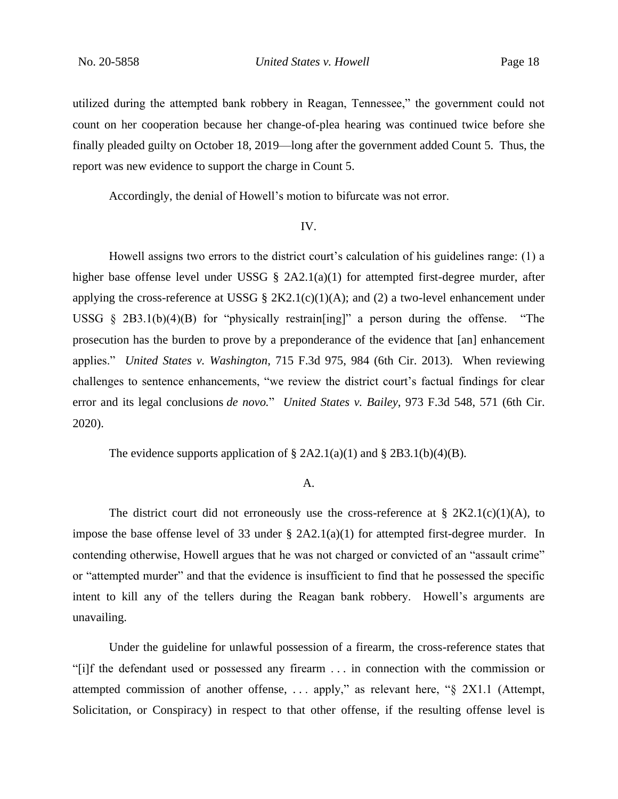utilized during the attempted bank robbery in Reagan, Tennessee," the government could not count on her cooperation because her change-of-plea hearing was continued twice before she finally pleaded guilty on October 18, 2019—long after the government added Count 5. Thus, the report was new evidence to support the charge in Count 5.

Accordingly, the denial of Howell's motion to bifurcate was not error.

#### IV.

Howell assigns two errors to the district court's calculation of his guidelines range: (1) a higher base offense level under USSG § 2A2.1(a)(1) for attempted first-degree murder, after applying the cross-reference at USSG  $\S 2K2.1(c)(1)(A)$ ; and (2) a two-level enhancement under USSG  $\S$  2B3.1(b)(4)(B) for "physically restrain [ing]" a person during the offense. "The prosecution has the burden to prove by a preponderance of the evidence that [an] enhancement applies." *United States v. Washington*, 715 F.3d 975, 984 (6th Cir. 2013). When reviewing challenges to sentence enhancements, "we review the district court's factual findings for clear error and its legal conclusions *de novo.*" *United States v. Bailey*, 973 F.3d 548, 571 (6th Cir. 2020).

The evidence supports application of  $\S 2A2.1(a)(1)$  and  $\S 2B3.1(b)(4)(B)$ .

# A.

The district court did not erroneously use the cross-reference at  $\S 2K2.1(c)(1)(A)$ , to impose the base offense level of 33 under § 2A2.1(a)(1) for attempted first-degree murder. In contending otherwise, Howell argues that he was not charged or convicted of an "assault crime" or "attempted murder" and that the evidence is insufficient to find that he possessed the specific intent to kill any of the tellers during the Reagan bank robbery. Howell's arguments are unavailing.

Under the guideline for unlawful possession of a firearm, the cross-reference states that "[i]f the defendant used or possessed any firearm . . . in connection with the commission or attempted commission of another offense, . . . apply," as relevant here, "§ 2X1.1 (Attempt, Solicitation, or Conspiracy) in respect to that other offense, if the resulting offense level is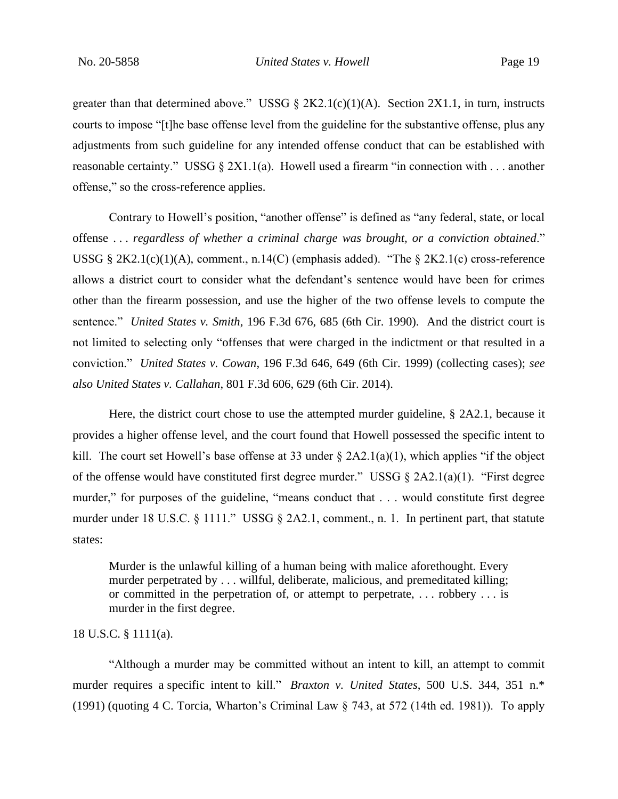greater than that determined above." USSG § 2K2.1(c)(1)(A). Section 2X1.1, in turn, instructs courts to impose "[t]he base offense level from the guideline for the substantive offense, plus any adjustments from such guideline for any intended offense conduct that can be established with reasonable certainty." USSG  $\S 2X1.1(a)$ . Howell used a firearm "in connection with ... another offense," so the cross-reference applies.

Contrary to Howell's position, "another offense" is defined as "any federal, state, or local offense . . . *regardless of whether a criminal charge was brought, or a conviction obtained*." USSG § 2K2.1(c)(1)(A), comment., n.14(C) (emphasis added). "The § 2K2.1(c) cross-reference allows a district court to consider what the defendant's sentence would have been for crimes other than the firearm possession, and use the higher of the two offense levels to compute the sentence." *United States v. Smith*, 196 F.3d 676, 685 (6th Cir. 1990). And the district court is not limited to selecting only "offenses that were charged in the indictment or that resulted in a conviction." *United States v. Cowan*, 196 F.3d 646, 649 (6th Cir. 1999) (collecting cases); *see also United States v. Callahan*, 801 F.3d 606, 629 (6th Cir. 2014).

Here, the district court chose to use the attempted murder guideline, § 2A2.1, because it provides a higher offense level, and the court found that Howell possessed the specific intent to kill. The court set Howell's base offense at 33 under  $\S$  2A2.1(a)(1), which applies "if the object of the offense would have constituted first degree murder." USSG  $\S$  2A2.1(a)(1). "First degree murder," for purposes of the guideline, "means conduct that . . . would constitute first degree murder under 18 U.S.C. § 1111." USSG § 2A2.1, comment., n. 1. In pertinent part, that statute states:

Murder is the unlawful killing of a human being with malice aforethought. Every murder perpetrated by . . . willful, deliberate, malicious, and premeditated killing; or committed in the perpetration of, or attempt to perpetrate, . . . robbery . . . is murder in the first degree.

# 18 U.S.C. § 1111(a).

"Although a murder may be committed without an intent to kill, an attempt to commit murder requires a specific intent to kill." *Braxton v. United States*, 500 U.S. 344, 351 n.\* (1991) (quoting 4 C. Torcia, Wharton's Criminal Law § 743, at 572 (14th ed. 1981)). To apply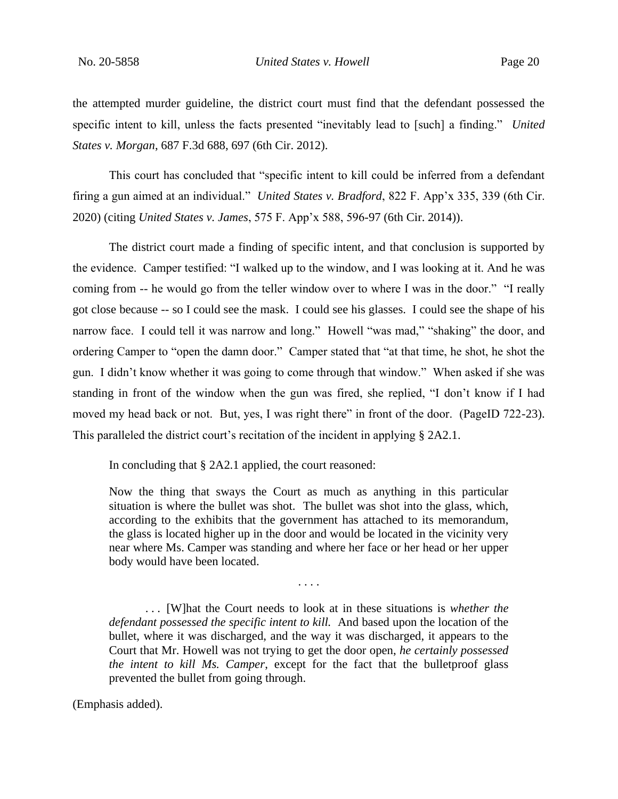the attempted murder guideline, the district court must find that the defendant possessed the specific intent to kill, unless the facts presented "inevitably lead to [such] a finding." *United States v. Morgan*, 687 F.3d 688, 697 (6th Cir. 2012).

This court has concluded that "specific intent to kill could be inferred from a defendant firing a gun aimed at an individual." *United States v. Bradford*, 822 F. App'x 335, 339 (6th Cir. 2020) (citing *United States v. James*, 575 F. App'x 588, 596-97 (6th Cir. 2014)).

The district court made a finding of specific intent, and that conclusion is supported by the evidence. Camper testified: "I walked up to the window, and I was looking at it. And he was coming from -- he would go from the teller window over to where I was in the door." "I really got close because -- so I could see the mask. I could see his glasses. I could see the shape of his narrow face. I could tell it was narrow and long." Howell "was mad," "shaking" the door, and ordering Camper to "open the damn door." Camper stated that "at that time, he shot, he shot the gun. I didn't know whether it was going to come through that window." When asked if she was standing in front of the window when the gun was fired, she replied, "I don't know if I had moved my head back or not. But, yes, I was right there" in front of the door. (PageID 722-23). This paralleled the district court's recitation of the incident in applying § 2A2.1.

In concluding that § 2A2.1 applied, the court reasoned:

Now the thing that sways the Court as much as anything in this particular situation is where the bullet was shot. The bullet was shot into the glass, which, according to the exhibits that the government has attached to its memorandum, the glass is located higher up in the door and would be located in the vicinity very near where Ms. Camper was standing and where her face or her head or her upper body would have been located.

. . . .

. . . [W]hat the Court needs to look at in these situations is *whether the defendant possessed the specific intent to kill.* And based upon the location of the bullet, where it was discharged, and the way it was discharged, it appears to the Court that Mr. Howell was not trying to get the door open, *he certainly possessed the intent to kill Ms. Camper*, except for the fact that the bulletproof glass prevented the bullet from going through.

(Emphasis added).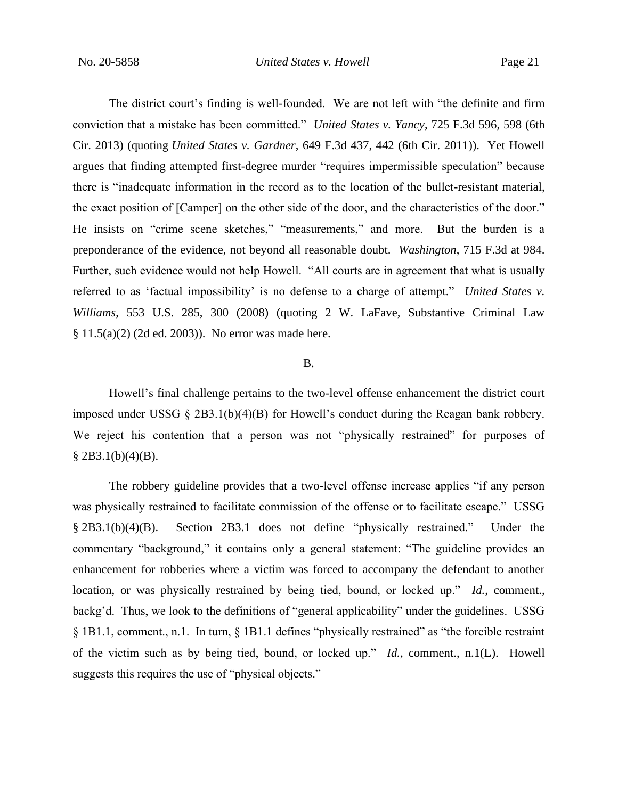The district court's finding is well-founded. We are not left with "the definite and firm conviction that a mistake has been committed." *United States v. Yancy*, 725 F.3d 596, 598 (6th Cir. 2013) (quoting *United States v. Gardner*, 649 F.3d 437, 442 (6th Cir. 2011)). Yet Howell argues that finding attempted first-degree murder "requires impermissible speculation" because there is "inadequate information in the record as to the location of the bullet-resistant material, the exact position of [Camper] on the other side of the door, and the characteristics of the door." He insists on "crime scene sketches," "measurements," and more. But the burden is a preponderance of the evidence, not beyond all reasonable doubt. *Washington*, 715 F.3d at 984. Further, such evidence would not help Howell. "All courts are in agreement that what is usually referred to as 'factual impossibility' is no defense to a charge of attempt." *United States v. Williams*, 553 U.S. 285, 300 (2008) (quoting 2 W. LaFave, Substantive Criminal Law § 11.5(a)(2) (2d ed. 2003)). No error was made here.

# B.

Howell's final challenge pertains to the two-level offense enhancement the district court imposed under USSG § 2B3.1(b)(4)(B) for Howell's conduct during the Reagan bank robbery. We reject his contention that a person was not "physically restrained" for purposes of  $§$  2B3.1(b)(4)(B).

The robbery guideline provides that a two-level offense increase applies "if any person was physically restrained to facilitate commission of the offense or to facilitate escape." USSG § 2B3.1(b)(4)(B). Section 2B3.1 does not define "physically restrained." Under the commentary "background," it contains only a general statement: "The guideline provides an enhancement for robberies where a victim was forced to accompany the defendant to another location, or was physically restrained by being tied, bound, or locked up." *Id.*, comment., backg'd. Thus, we look to the definitions of "general applicability" under the guidelines. USSG § 1B1.1, comment., n.1. In turn, § 1B1.1 defines "physically restrained" as "the forcible restraint of the victim such as by being tied, bound, or locked up." *Id.*, comment., n.1(L). Howell suggests this requires the use of "physical objects."